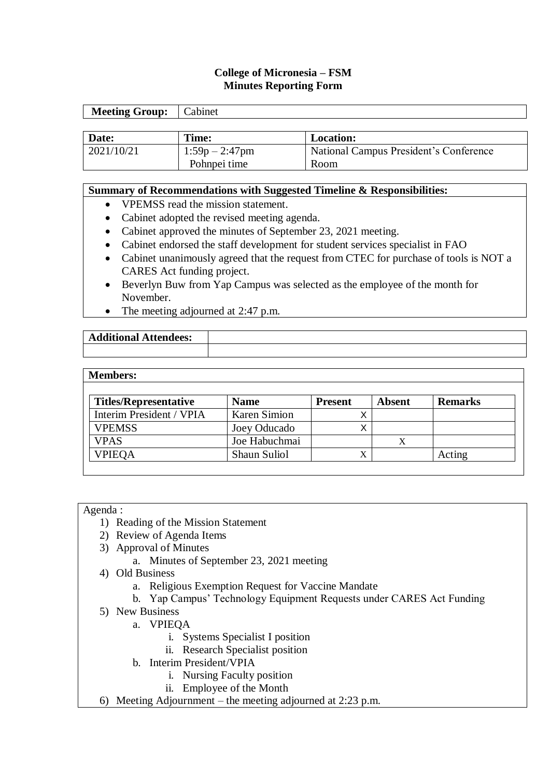# **College of Micronesia – FSM Minutes Reporting Form**

| <b>Meeting Group:</b> | Cabinet           |                                        |
|-----------------------|-------------------|----------------------------------------|
|                       |                   |                                        |
| Date:                 | Time:             | <b>Location:</b>                       |
| 2021/10/21            | $1:59p - 2:47p$ m | National Campus President's Conference |
|                       | Pohnpei time      | Room                                   |

#### **Summary of Recommendations with Suggested Timeline & Responsibilities:**

- VPEMSS read the mission statement.
- Cabinet adopted the revised meeting agenda.
- Cabinet approved the minutes of September 23, 2021 meeting.
- Cabinet endorsed the staff development for student services specialist in FAO
- Cabinet unanimously agreed that the request from CTEC for purchase of tools is NOT a CARES Act funding project.
- Beverlyn Buw from Yap Campus was selected as the employee of the month for November.
- The meeting adjourned at 2:47 p.m.

| 'ditional .<br>Attendees:<br>$A^{\prime}$ |  |
|-------------------------------------------|--|
|                                           |  |

#### **Members:**

| <b>Titles/Representative</b> | <b>Name</b>   | <b>Present</b> | <b>Absent</b> | <b>Remarks</b> |
|------------------------------|---------------|----------------|---------------|----------------|
| Interim President / VPIA     | Karen Simion  |                |               |                |
| <b>VPEMSS</b>                | Joey Oducado  |                |               |                |
| <b>VPAS</b>                  | Joe Habuchmai |                |               |                |
| <b>VPIEQA</b>                | Shaun Suliol  | $\Lambda$      |               | Acting         |

#### Agenda :

- 1) Reading of the Mission Statement
- 2) Review of Agenda Items
- 3) Approval of Minutes
	- a. Minutes of September 23, 2021 meeting
- 4) Old Business
	- a. Religious Exemption Request for Vaccine Mandate
	- b. Yap Campus' Technology Equipment Requests under CARES Act Funding
- 5) New Business
	- a. VPIEQA
		- i. Systems Specialist I position
		- ii. Research Specialist position
	- b. Interim President/VPIA
		- i. Nursing Faculty position
		- ii. Employee of the Month
- 6) Meeting Adjournment the meeting adjourned at 2:23 p.m.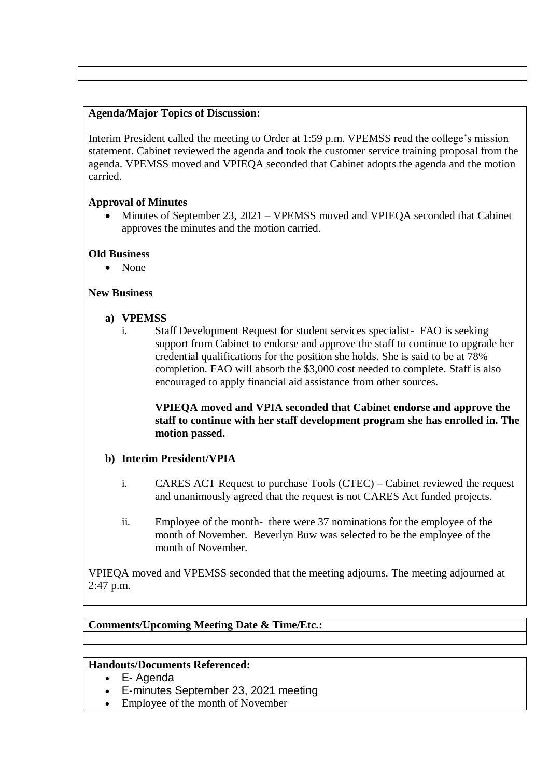## **Agenda/Major Topics of Discussion:**

Interim President called the meeting to Order at 1:59 p.m. VPEMSS read the college's mission statement. Cabinet reviewed the agenda and took the customer service training proposal from the agenda. VPEMSS moved and VPIEQA seconded that Cabinet adopts the agenda and the motion carried.

# **Approval of Minutes**

 Minutes of September 23, 2021 – VPEMSS moved and VPIEQA seconded that Cabinet approves the minutes and the motion carried.

## **Old Business**

• None

## **New Business**

- **a) VPEMSS**
	- i. Staff Development Request for student services specialist- FAO is seeking support from Cabinet to endorse and approve the staff to continue to upgrade her credential qualifications for the position she holds. She is said to be at 78% completion. FAO will absorb the \$3,000 cost needed to complete. Staff is also encouraged to apply financial aid assistance from other sources.

## **VPIEQA moved and VPIA seconded that Cabinet endorse and approve the staff to continue with her staff development program she has enrolled in. The motion passed.**

# **b) Interim President/VPIA**

- i. CARES ACT Request to purchase Tools (CTEC) Cabinet reviewed the request and unanimously agreed that the request is not CARES Act funded projects.
- ii. Employee of the month- there were 37 nominations for the employee of the month of November. Beverlyn Buw was selected to be the employee of the month of November.

VPIEQA moved and VPEMSS seconded that the meeting adjourns. The meeting adjourned at 2:47 p.m.

# **Comments/Upcoming Meeting Date & Time/Etc.:**

### **Handouts/Documents Referenced:**

- E- Agenda
- E-minutes September 23, 2021 meeting
- Employee of the month of November